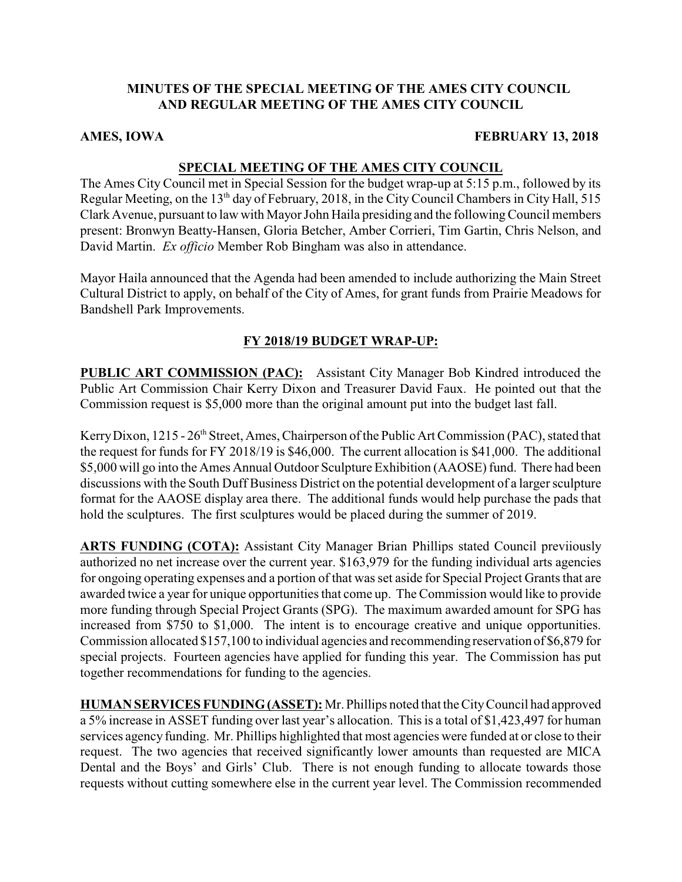# **MINUTES OF THE SPECIAL MEETING OF THE AMES CITY COUNCIL AND REGULAR MEETING OF THE AMES CITY COUNCIL**

## **AMES, IOWA FEBRUARY 13, 2018**

# **SPECIAL MEETING OF THE AMES CITY COUNCIL**

The Ames City Council met in Special Session for the budget wrap-up at 5:15 p.m., followed by its Regular Meeting, on the 13<sup>th</sup> day of February, 2018, in the City Council Chambers in City Hall, 515 Clark Avenue, pursuant to law with Mayor John Haila presiding and the followingCouncil members present: Bronwyn Beatty-Hansen, Gloria Betcher, Amber Corrieri, Tim Gartin, Chris Nelson, and David Martin. *Ex officio* Member Rob Bingham was also in attendance.

Mayor Haila announced that the Agenda had been amended to include authorizing the Main Street Cultural District to apply, on behalf of the City of Ames, for grant funds from Prairie Meadows for Bandshell Park Improvements.

# **FY 2018/19 BUDGET WRAP-UP:**

**PUBLIC ART COMMISSION (PAC):** Assistant City Manager Bob Kindred introduced the Public Art Commission Chair Kerry Dixon and Treasurer David Faux. He pointed out that the Commission request is \$5,000 more than the original amount put into the budget last fall.

Kerry Dixon, 1215 - 26<sup>th</sup> Street, Ames, Chairperson of the Public Art Commission (PAC), stated that the request for funds for FY 2018/19 is \$46,000. The current allocation is \$41,000. The additional \$5,000 will go into the Ames Annual Outdoor Sculpture Exhibition (AAOSE) fund. There had been discussions with the South Duff Business District on the potential development of a larger sculpture format for the AAOSE display area there. The additional funds would help purchase the pads that hold the sculptures. The first sculptures would be placed during the summer of 2019.

**ARTS FUNDING (COTA):** Assistant City Manager Brian Phillips stated Council previiously authorized no net increase over the current year. \$163,979 for the funding individual arts agencies for ongoing operating expenses and a portion of that was set aside for Special Project Grants that are awarded twice a year for unique opportunities that come up. The Commission would like to provide more funding through Special Project Grants (SPG). The maximum awarded amount for SPG has increased from \$750 to \$1,000. The intent is to encourage creative and unique opportunities. Commission allocated \$157,100 to individual agencies and recommending reservation of \$6,879 for special projects. Fourteen agencies have applied for funding this year. The Commission has put together recommendations for funding to the agencies.

**HUMAN SERVICES FUNDING(ASSET):** Mr. Phillips noted that the CityCouncil had approved a 5% increase in ASSET funding over last year's allocation. This is a total of \$1,423,497 for human services agency funding. Mr. Phillips highlighted that most agencies were funded at or close to their request. The two agencies that received significantly lower amounts than requested are MICA Dental and the Boys' and Girls' Club. There is not enough funding to allocate towards those requests without cutting somewhere else in the current year level. The Commission recommended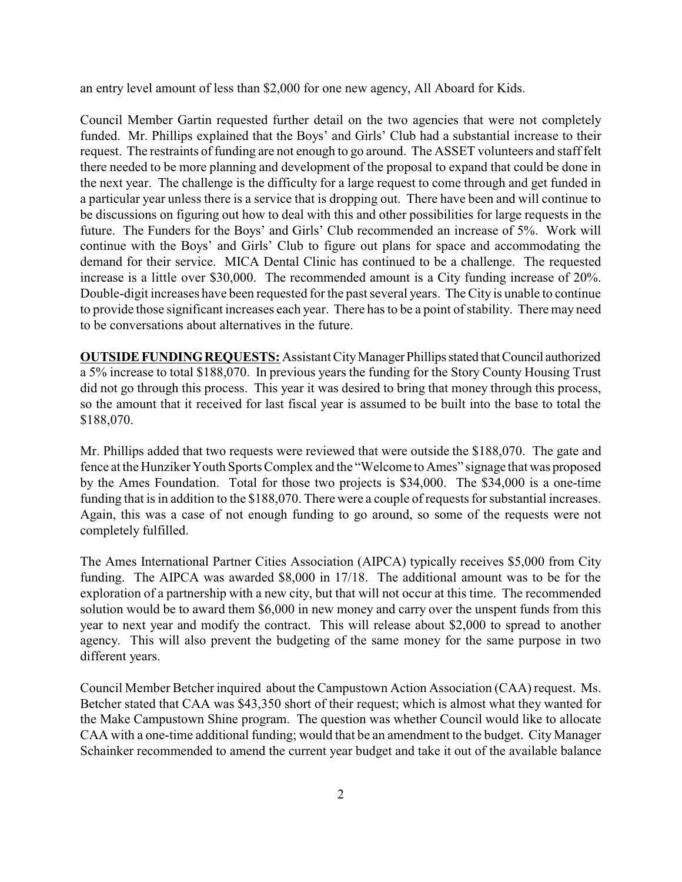an entry level amount of less than \$2,000 for one new agency, All Aboard for Kids.

Council Member Gartin requested further detail on the two agencies that were not completely funded. Mr. Phillips explained that the Boys' and Girls' Club had a substantial increase to their request. The restraints of funding are not enough to go around. The ASSET volunteers and staff felt there needed to be more planning and development of the proposal to expand that could be done in the next year. The challenge is the difficulty for a large request to come through and get funded in a particular year unless there is a service that is dropping out. There have been and will continue to be discussions on figuring out how to deal with this and other possibilities for large requests in the future. The Funders for the Boys' and Girls' Club recommended an increase of 5%. Work will continue with the Boys' and Girls' Club to figure out plans for space and accommodating the demand for their service. MICA Dental Clinic has continued to be a challenge. The requested increase is a little over \$30,000. The recommended amount is a City funding increase of 20%. Double-digit increases have been requested for the past several years. The City is unable to continue to provide those significant increases each year. There has to be a point of stability. There may need to be conversations about alternatives in the future.

**OUTSIDE FUNDING REQUESTS:** Assistant City Manager Phillips stated that Council authorized a 5% increase to total \$188,070. In previous years the funding for the Story County Housing Trust did not go through this process. This year it was desired to bring that money through this process, so the amount that it received for last fiscal year is assumed to be built into the base to total the \$188,070.

Mr. Phillips added that two requests were reviewed that were outside the \$188,070. The gate and fence at the Hunziker Youth Sports Complex and the "Welcome to Ames" signage that was proposed by the Ames Foundation. Total for those two projects is \$34,000. The \$34,000 is a one-time funding that is in addition to the \$188,070. There were a couple of requests for substantial increases. Again, this was a case of not enough funding to go around, so some of the requests were not completely fulfilled.

The Ames International Partner Cities Association (AIPCA) typically receives \$5,000 from City funding. The AIPCA was awarded \$8,000 in 17/18. The additional amount was to be for the exploration of a partnership with a new city, but that will not occur at this time. The recommended solution would be to award them \$6,000 in new money and carry over the unspent funds from this year to next year and modify the contract. This will release about \$2,000 to spread to another agency. This will also prevent the budgeting of the same money for the same purpose in two different years.

Council Member Betcher inquired about the Campustown Action Association (CAA) request. Ms. Betcher stated that CAA was \$43,350 short of their request; which is almost what they wanted for the Make Campustown Shine program. The question was whether Council would like to allocate CAA with a one-time additional funding; would that be an amendment to the budget. City Manager Schainker recommended to amend the current year budget and take it out of the available balance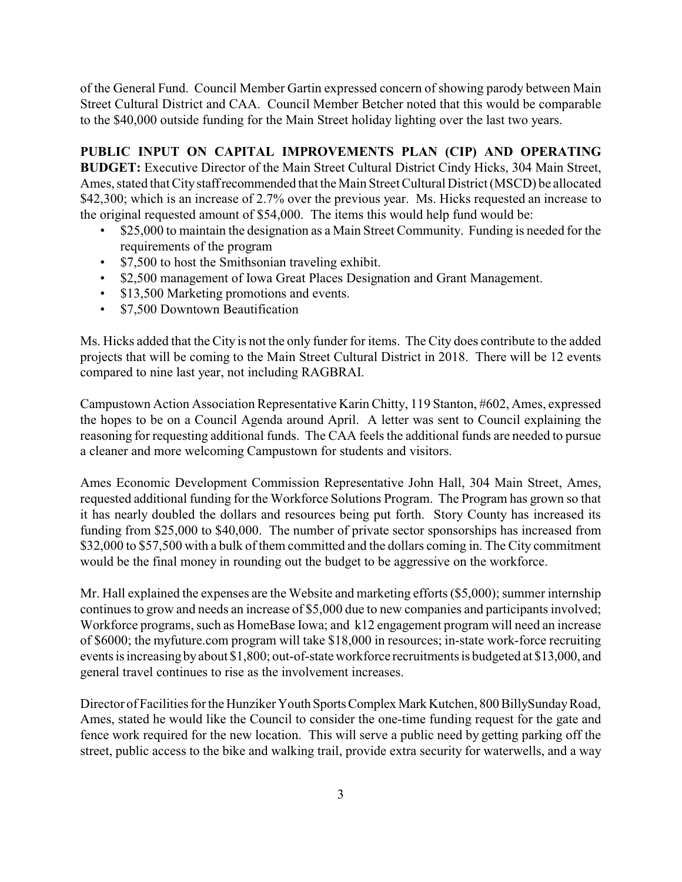of the General Fund. Council Member Gartin expressed concern of showing parody between Main Street Cultural District and CAA. Council Member Betcher noted that this would be comparable to the \$40,000 outside funding for the Main Street holiday lighting over the last two years.

# **PUBLIC INPUT ON CAPITAL IMPROVEMENTS PLAN (CIP) AND OPERATING**

**BUDGET:** Executive Director of the Main Street Cultural District Cindy Hicks, 304 Main Street, Ames, stated that City staffrecommended that the Main Street Cultural District (MSCD) be allocated \$42,300; which is an increase of 2.7% over the previous year. Ms. Hicks requested an increase to the original requested amount of \$54,000. The items this would help fund would be:

- \$25,000 to maintain the designation as a Main Street Community. Funding is needed for the requirements of the program
- \$7,500 to host the Smithsonian traveling exhibit.
- \$2,500 management of Iowa Great Places Designation and Grant Management.
- \$13,500 Marketing promotions and events.
- \$7,500 Downtown Beautification

Ms. Hicks added that the City is not the only funder for items. The City does contribute to the added projects that will be coming to the Main Street Cultural District in 2018. There will be 12 events compared to nine last year, not including RAGBRAI.

Campustown Action Association Representative Karin Chitty, 119 Stanton, #602, Ames, expressed the hopes to be on a Council Agenda around April. A letter was sent to Council explaining the reasoning for requesting additional funds. The CAA feels the additional funds are needed to pursue a cleaner and more welcoming Campustown for students and visitors.

Ames Economic Development Commission Representative John Hall, 304 Main Street, Ames, requested additional funding for the Workforce Solutions Program. The Program has grown so that it has nearly doubled the dollars and resources being put forth. Story County has increased its funding from \$25,000 to \$40,000. The number of private sector sponsorships has increased from \$32,000 to \$57,500 with a bulk of them committed and the dollars coming in. The City commitment would be the final money in rounding out the budget to be aggressive on the workforce.

Mr. Hall explained the expenses are the Website and marketing efforts (\$5,000); summer internship continues to grow and needs an increase of \$5,000 due to new companies and participants involved; Workforce programs, such as HomeBase Iowa; and k12 engagement program will need an increase of \$6000; the myfuture.com program will take \$18,000 in resources; in-state work-force recruiting events is increasing byabout \$1,800; out-of-state workforce recruitments is budgeted at \$13,000, and general travel continues to rise as the involvement increases.

Director of Facilities for the Hunziker Youth Sports Complex Mark Kutchen, 800 BillySunday Road, Ames, stated he would like the Council to consider the one-time funding request for the gate and fence work required for the new location. This will serve a public need by getting parking off the street, public access to the bike and walking trail, provide extra security for waterwells, and a way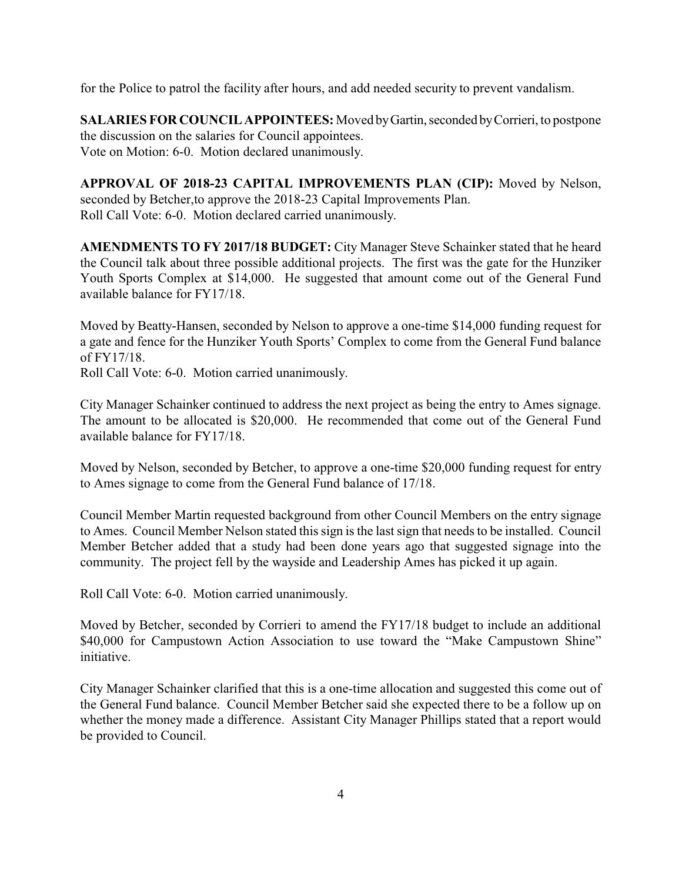for the Police to patrol the facility after hours, and add needed security to prevent vandalism.

**SALARIES FOR COUNCIL APPOINTEES:** Moved by Gartin, seconded by Corrieri, to postpone the discussion on the salaries for Council appointees. Vote on Motion: 6-0. Motion declared unanimously.

**APPROVAL OF 2018-23 CAPITAL IMPROVEMENTS PLAN (CIP):** Moved by Nelson, seconded by Betcher,to approve the 2018-23 Capital Improvements Plan. Roll Call Vote: 6-0. Motion declared carried unanimously.

**AMENDMENTS TO FY 2017/18 BUDGET:** City Manager Steve Schainker stated that he heard the Council talk about three possible additional projects. The first was the gate for the Hunziker Youth Sports Complex at \$14,000. He suggested that amount come out of the General Fund available balance for FY17/18.

Moved by Beatty-Hansen, seconded by Nelson to approve a one-time \$14,000 funding request for a gate and fence for the Hunziker Youth Sports' Complex to come from the General Fund balance of FY17/18.

Roll Call Vote: 6-0. Motion carried unanimously.

City Manager Schainker continued to address the next project as being the entry to Ames signage. The amount to be allocated is \$20,000. He recommended that come out of the General Fund available balance for FY17/18.

Moved by Nelson, seconded by Betcher, to approve a one-time \$20,000 funding request for entry to Ames signage to come from the General Fund balance of 17/18.

Council Member Martin requested background from other Council Members on the entry signage to Ames. Council Member Nelson stated this sign is the last sign that needs to be installed. Council Member Betcher added that a study had been done years ago that suggested signage into the community. The project fell by the wayside and Leadership Ames has picked it up again.

Roll Call Vote: 6-0. Motion carried unanimously.

Moved by Betcher, seconded by Corrieri to amend the FY17/18 budget to include an additional \$40,000 for Campustown Action Association to use toward the "Make Campustown Shine" initiative.

City Manager Schainker clarified that this is a one-time allocation and suggested this come out of the General Fund balance. Council Member Betcher said she expected there to be a follow up on whether the money made a difference. Assistant City Manager Phillips stated that a report would be provided to Council.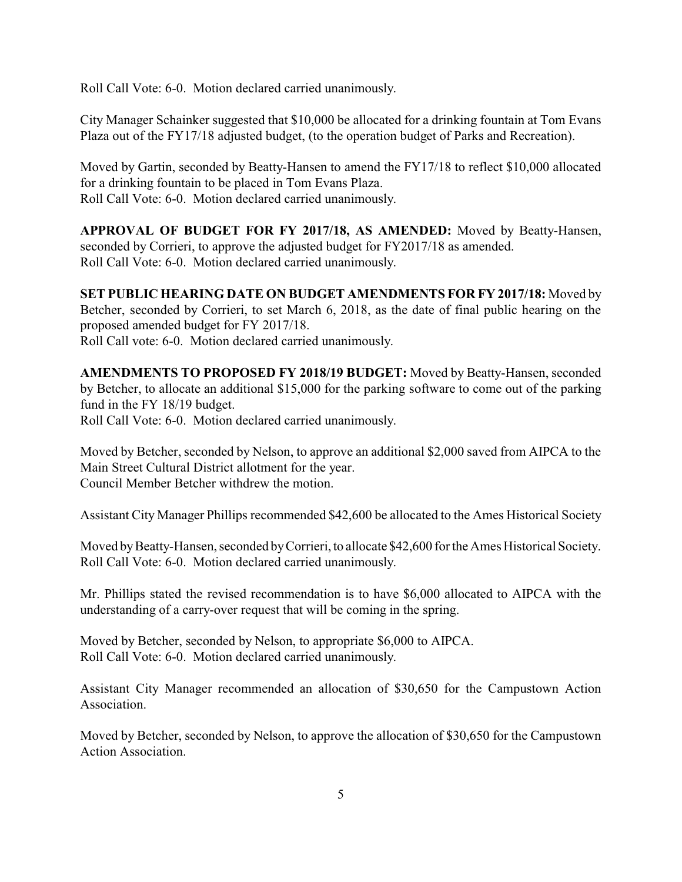Roll Call Vote: 6-0. Motion declared carried unanimously.

City Manager Schainker suggested that \$10,000 be allocated for a drinking fountain at Tom Evans Plaza out of the FY17/18 adjusted budget, (to the operation budget of Parks and Recreation).

Moved by Gartin, seconded by Beatty-Hansen to amend the FY17/18 to reflect \$10,000 allocated for a drinking fountain to be placed in Tom Evans Plaza. Roll Call Vote: 6-0. Motion declared carried unanimously.

**APPROVAL OF BUDGET FOR FY 2017/18, AS AMENDED:** Moved by Beatty-Hansen, seconded by Corrieri, to approve the adjusted budget for FY2017/18 as amended. Roll Call Vote: 6-0. Motion declared carried unanimously.

**SET PUBLIC HEARING DATE ON BUDGET AMENDMENTS FOR FY 2017/18:** Moved by Betcher, seconded by Corrieri, to set March 6, 2018, as the date of final public hearing on the proposed amended budget for FY 2017/18. Roll Call vote: 6-0. Motion declared carried unanimously.

**AMENDMENTS TO PROPOSED FY 2018/19 BUDGET:** Moved by Beatty-Hansen, seconded by Betcher, to allocate an additional \$15,000 for the parking software to come out of the parking fund in the FY 18/19 budget. Roll Call Vote: 6-0. Motion declared carried unanimously.

Moved by Betcher, seconded by Nelson, to approve an additional \$2,000 saved from AIPCA to the Main Street Cultural District allotment for the year. Council Member Betcher withdrew the motion.

Assistant City Manager Phillips recommended \$42,600 be allocated to the Ames Historical Society

Moved by Beatty-Hansen, seconded by Corrieri, to allocate \$42,600 for the Ames Historical Society. Roll Call Vote: 6-0. Motion declared carried unanimously.

Mr. Phillips stated the revised recommendation is to have \$6,000 allocated to AIPCA with the understanding of a carry-over request that will be coming in the spring.

Moved by Betcher, seconded by Nelson, to appropriate \$6,000 to AIPCA. Roll Call Vote: 6-0. Motion declared carried unanimously.

Assistant City Manager recommended an allocation of \$30,650 for the Campustown Action Association.

Moved by Betcher, seconded by Nelson, to approve the allocation of \$30,650 for the Campustown Action Association.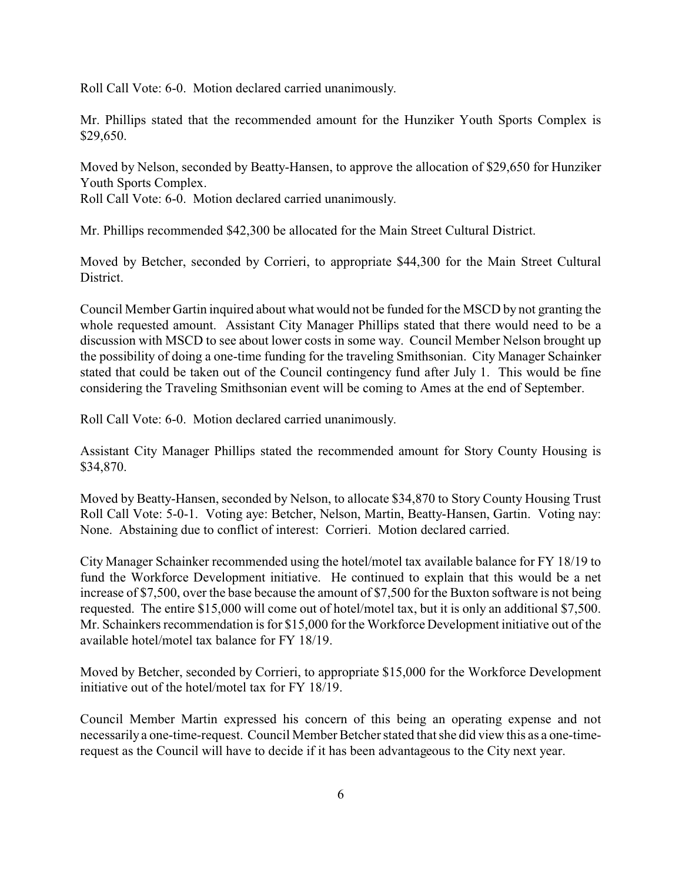Roll Call Vote: 6-0. Motion declared carried unanimously.

Mr. Phillips stated that the recommended amount for the Hunziker Youth Sports Complex is \$29,650.

Moved by Nelson, seconded by Beatty-Hansen, to approve the allocation of \$29,650 for Hunziker Youth Sports Complex.

Roll Call Vote: 6-0. Motion declared carried unanimously.

Mr. Phillips recommended \$42,300 be allocated for the Main Street Cultural District.

Moved by Betcher, seconded by Corrieri, to appropriate \$44,300 for the Main Street Cultural District.

Council Member Gartin inquired about what would not be funded for the MSCD by not granting the whole requested amount. Assistant City Manager Phillips stated that there would need to be a discussion with MSCD to see about lower costs in some way. Council Member Nelson brought up the possibility of doing a one-time funding for the traveling Smithsonian. City Manager Schainker stated that could be taken out of the Council contingency fund after July 1. This would be fine considering the Traveling Smithsonian event will be coming to Ames at the end of September.

Roll Call Vote: 6-0. Motion declared carried unanimously.

Assistant City Manager Phillips stated the recommended amount for Story County Housing is \$34,870.

Moved by Beatty-Hansen, seconded by Nelson, to allocate \$34,870 to Story County Housing Trust Roll Call Vote: 5-0-1. Voting aye: Betcher, Nelson, Martin, Beatty-Hansen, Gartin. Voting nay: None. Abstaining due to conflict of interest: Corrieri. Motion declared carried.

City Manager Schainker recommended using the hotel/motel tax available balance for FY 18/19 to fund the Workforce Development initiative. He continued to explain that this would be a net increase of \$7,500, over the base because the amount of \$7,500 for the Buxton software is not being requested. The entire \$15,000 will come out of hotel/motel tax, but it is only an additional \$7,500. Mr. Schainkers recommendation is for \$15,000 for the Workforce Development initiative out of the available hotel/motel tax balance for FY 18/19.

Moved by Betcher, seconded by Corrieri, to appropriate \$15,000 for the Workforce Development initiative out of the hotel/motel tax for FY 18/19.

Council Member Martin expressed his concern of this being an operating expense and not necessarily a one-time-request. Council Member Betcher stated that she did view this as a one-timerequest as the Council will have to decide if it has been advantageous to the City next year.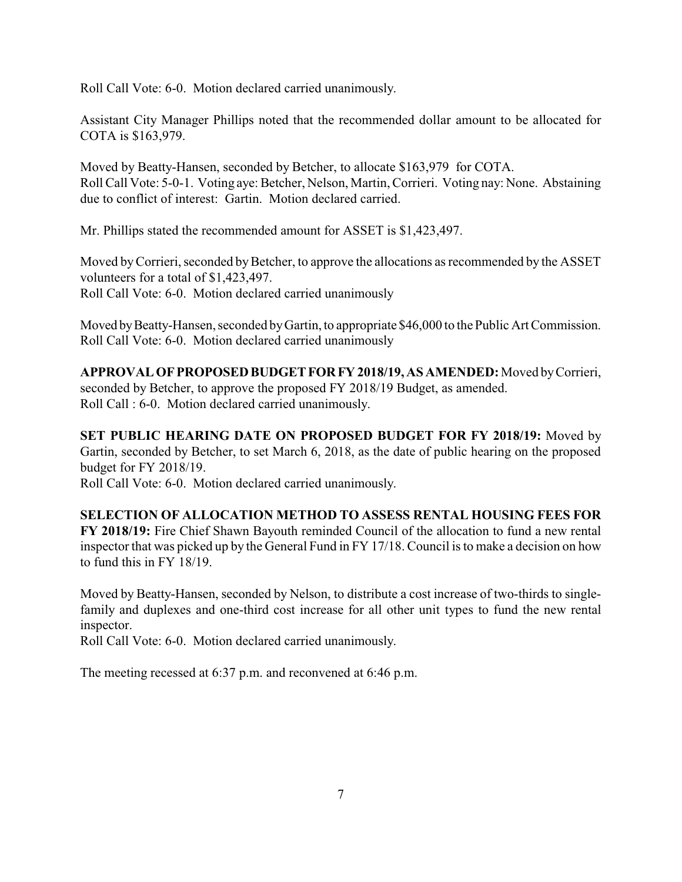Roll Call Vote: 6-0. Motion declared carried unanimously.

Assistant City Manager Phillips noted that the recommended dollar amount to be allocated for COTA is \$163,979.

Moved by Beatty-Hansen, seconded by Betcher, to allocate \$163,979 for COTA. Roll Call Vote: 5-0-1. Voting aye: Betcher, Nelson, Martin, Corrieri. Voting nay: None. Abstaining due to conflict of interest: Gartin. Motion declared carried.

Mr. Phillips stated the recommended amount for ASSET is \$1,423,497.

Moved by Corrieri, seconded by Betcher, to approve the allocations as recommended by the ASSET volunteers for a total of \$1,423,497. Roll Call Vote: 6-0. Motion declared carried unanimously

Moved by Beatty-Hansen, seconded by Gartin, to appropriate \$46,000 to the Public Art Commission. Roll Call Vote: 6-0. Motion declared carried unanimously

**APPROVAL OFPROPOSEDBUDGETFORFY 2018/19, AS AMENDED:**Moved byCorrieri, seconded by Betcher, to approve the proposed FY 2018/19 Budget, as amended. Roll Call : 6-0. Motion declared carried unanimously.

**SET PUBLIC HEARING DATE ON PROPOSED BUDGET FOR FY 2018/19:** Moved by Gartin, seconded by Betcher, to set March 6, 2018, as the date of public hearing on the proposed budget for FY 2018/19.

Roll Call Vote: 6-0. Motion declared carried unanimously.

**SELECTION OF ALLOCATION METHOD TO ASSESS RENTAL HOUSING FEES FOR FY 2018/19:** Fire Chief Shawn Bayouth reminded Council of the allocation to fund a new rental inspector that was picked up by the General Fund in FY 17/18. Council is to make a decision on how to fund this in FY 18/19.

Moved by Beatty-Hansen, seconded by Nelson, to distribute a cost increase of two-thirds to singlefamily and duplexes and one-third cost increase for all other unit types to fund the new rental inspector.

Roll Call Vote: 6-0. Motion declared carried unanimously.

The meeting recessed at 6:37 p.m. and reconvened at 6:46 p.m.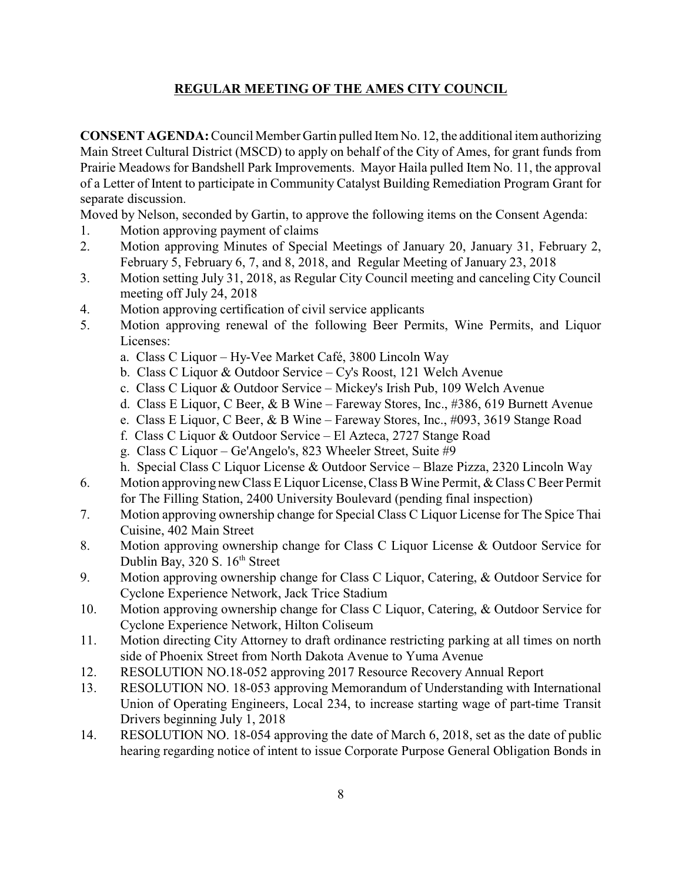# **REGULAR MEETING OF THE AMES CITY COUNCIL**

**CONSENT AGENDA:** Council Member Gartin pulled Item No. 12, the additional item authorizing Main Street Cultural District (MSCD) to apply on behalf of the City of Ames, for grant funds from Prairie Meadows for Bandshell Park Improvements. Mayor Haila pulled Item No. 11, the approval of a Letter of Intent to participate in Community Catalyst Building Remediation Program Grant for separate discussion.

Moved by Nelson, seconded by Gartin, to approve the following items on the Consent Agenda:

- 1. Motion approving payment of claims
- 2. Motion approving Minutes of Special Meetings of January 20, January 31, February 2, February 5, February 6, 7, and 8, 2018, and Regular Meeting of January 23, 2018
- 3. Motion setting July 31, 2018, as Regular City Council meeting and canceling City Council meeting off July 24, 2018
- 4. Motion approving certification of civil service applicants
- 5. Motion approving renewal of the following Beer Permits, Wine Permits, and Liquor Licenses:
	- a. Class C Liquor Hy-Vee Market Café, 3800 Lincoln Way
	- b. Class C Liquor & Outdoor Service Cy's Roost, 121 Welch Avenue
	- c. Class C Liquor & Outdoor Service Mickey's Irish Pub, 109 Welch Avenue
	- d. Class E Liquor, C Beer, & B Wine Fareway Stores, Inc., #386, 619 Burnett Avenue
	- e. Class E Liquor, C Beer, & B Wine Fareway Stores, Inc., #093, 3619 Stange Road
	- f. Class C Liquor & Outdoor Service El Azteca, 2727 Stange Road
	- g. Class C Liquor Ge'Angelo's, 823 Wheeler Street, Suite #9
	- h. Special Class C Liquor License & Outdoor Service Blaze Pizza, 2320 Lincoln Way
- 6. Motion approving new Class E Liquor License, Class BWine Permit, & Class C Beer Permit for The Filling Station, 2400 University Boulevard (pending final inspection)
- 7. Motion approving ownership change for Special Class C Liquor License for The Spice Thai Cuisine, 402 Main Street
- 8. Motion approving ownership change for Class C Liquor License & Outdoor Service for Dublin Bay, 320 S. 16<sup>th</sup> Street
- 9. Motion approving ownership change for Class C Liquor, Catering, & Outdoor Service for Cyclone Experience Network, Jack Trice Stadium
- 10. Motion approving ownership change for Class C Liquor, Catering, & Outdoor Service for Cyclone Experience Network, Hilton Coliseum
- 11. Motion directing City Attorney to draft ordinance restricting parking at all times on north side of Phoenix Street from North Dakota Avenue to Yuma Avenue
- 12. RESOLUTION NO.18-052 approving 2017 Resource Recovery Annual Report
- 13. RESOLUTION NO. 18-053 approving Memorandum of Understanding with International Union of Operating Engineers, Local 234, to increase starting wage of part-time Transit Drivers beginning July 1, 2018
- 14. RESOLUTION NO. 18-054 approving the date of March 6, 2018, set as the date of public hearing regarding notice of intent to issue Corporate Purpose General Obligation Bonds in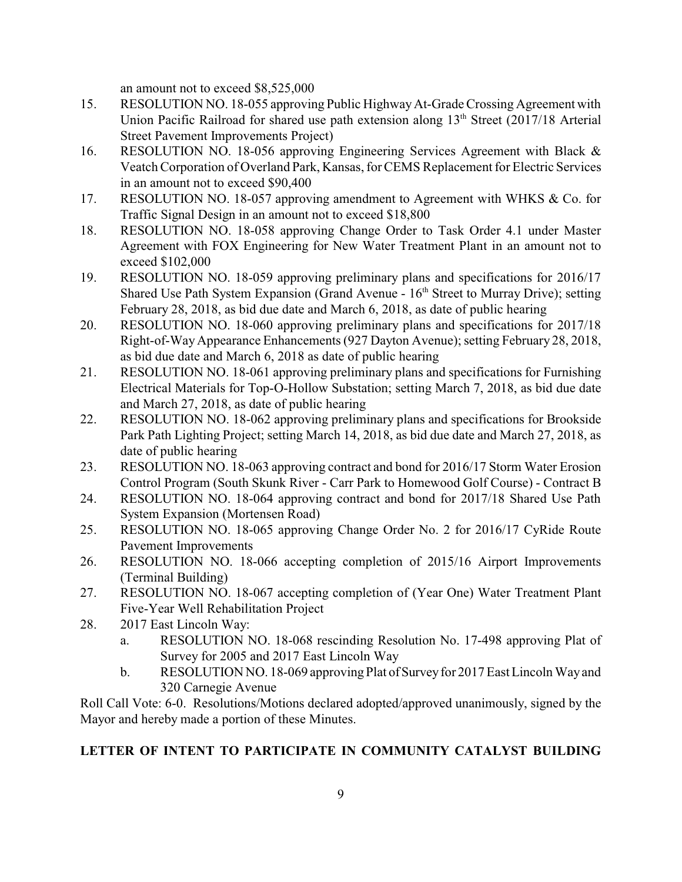an amount not to exceed \$8,525,000

- 15. RESOLUTION NO. 18-055 approving Public HighwayAt-Grade Crossing Agreement with Union Pacific Railroad for shared use path extension along  $13<sup>th</sup>$  Street (2017/18 Arterial Street Pavement Improvements Project)
- 16. RESOLUTION NO. 18-056 approving Engineering Services Agreement with Black & Veatch Corporation of Overland Park, Kansas, for CEMS Replacement for Electric Services in an amount not to exceed \$90,400
- 17. RESOLUTION NO. 18-057 approving amendment to Agreement with WHKS & Co. for Traffic Signal Design in an amount not to exceed \$18,800
- 18. RESOLUTION NO. 18-058 approving Change Order to Task Order 4.1 under Master Agreement with FOX Engineering for New Water Treatment Plant in an amount not to exceed \$102,000
- 19. RESOLUTION NO. 18-059 approving preliminary plans and specifications for 2016/17 Shared Use Path System Expansion (Grand Avenue -  $16<sup>th</sup>$  Street to Murray Drive); setting February 28, 2018, as bid due date and March 6, 2018, as date of public hearing
- 20. RESOLUTION NO. 18-060 approving preliminary plans and specifications for 2017/18 Right-of-Way Appearance Enhancements (927 Dayton Avenue); setting February 28, 2018, as bid due date and March 6, 2018 as date of public hearing
- 21. RESOLUTION NO. 18-061 approving preliminary plans and specifications for Furnishing Electrical Materials for Top-O-Hollow Substation; setting March 7, 2018, as bid due date and March 27, 2018, as date of public hearing
- 22. RESOLUTION NO. 18-062 approving preliminary plans and specifications for Brookside Park Path Lighting Project; setting March 14, 2018, as bid due date and March 27, 2018, as date of public hearing
- 23. RESOLUTION NO. 18-063 approving contract and bond for 2016/17 Storm Water Erosion Control Program (South Skunk River - Carr Park to Homewood Golf Course) - Contract B
- 24. RESOLUTION NO. 18-064 approving contract and bond for 2017/18 Shared Use Path System Expansion (Mortensen Road)
- 25. RESOLUTION NO. 18-065 approving Change Order No. 2 for 2016/17 CyRide Route Pavement Improvements
- 26. RESOLUTION NO. 18-066 accepting completion of 2015/16 Airport Improvements (Terminal Building)
- 27. RESOLUTION NO. 18-067 accepting completion of (Year One) Water Treatment Plant Five-Year Well Rehabilitation Project
- 28. 2017 East Lincoln Way:
	- a. RESOLUTION NO. 18-068 rescinding Resolution No. 17-498 approving Plat of Survey for 2005 and 2017 East Lincoln Way
	- b. RESOLUTION NO. 18-069 approving Plat of Survey for 2017 East Lincoln Way and 320 Carnegie Avenue

Roll Call Vote: 6-0. Resolutions/Motions declared adopted/approved unanimously, signed by the Mayor and hereby made a portion of these Minutes.

# **LETTER OF INTENT TO PARTICIPATE IN COMMUNITY CATALYST BUILDING**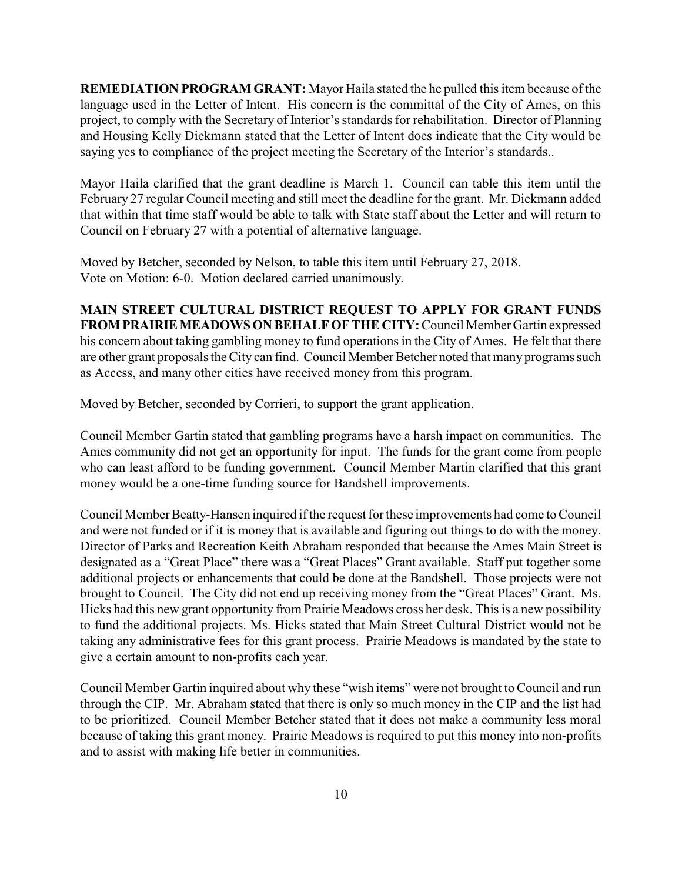**REMEDIATION PROGRAM GRANT:** Mayor Haila stated the he pulled this item because of the language used in the Letter of Intent. His concern is the committal of the City of Ames, on this project, to comply with the Secretary of Interior's standards for rehabilitation. Director of Planning and Housing Kelly Diekmann stated that the Letter of Intent does indicate that the City would be saying yes to compliance of the project meeting the Secretary of the Interior's standards..

Mayor Haila clarified that the grant deadline is March 1. Council can table this item until the February 27 regular Council meeting and still meet the deadline for the grant. Mr. Diekmann added that within that time staff would be able to talk with State staff about the Letter and will return to Council on February 27 with a potential of alternative language.

Moved by Betcher, seconded by Nelson, to table this item until February 27, 2018. Vote on Motion: 6-0. Motion declared carried unanimously.

**MAIN STREET CULTURAL DISTRICT REQUEST TO APPLY FOR GRANT FUNDS FROMPRAIRIEMEADOWSONBEHALFOFTHE CITY:** Council Member Gartin expressed his concern about taking gambling money to fund operations in the City of Ames. He felt that there are other grant proposals the City can find. Council Member Betcher noted that many programs such as Access, and many other cities have received money from this program.

Moved by Betcher, seconded by Corrieri, to support the grant application.

Council Member Gartin stated that gambling programs have a harsh impact on communities. The Ames community did not get an opportunity for input. The funds for the grant come from people who can least afford to be funding government. Council Member Martin clarified that this grant money would be a one-time funding source for Bandshell improvements.

Council Member Beatty-Hansen inquired if the request for these improvements had come to Council and were not funded or if it is money that is available and figuring out things to do with the money. Director of Parks and Recreation Keith Abraham responded that because the Ames Main Street is designated as a "Great Place" there was a "Great Places" Grant available. Staff put together some additional projects or enhancements that could be done at the Bandshell. Those projects were not brought to Council. The City did not end up receiving money from the "Great Places" Grant. Ms. Hicks had this new grant opportunity from Prairie Meadows cross her desk. This is a new possibility to fund the additional projects. Ms. Hicks stated that Main Street Cultural District would not be taking any administrative fees for this grant process. Prairie Meadows is mandated by the state to give a certain amount to non-profits each year.

Council Member Gartin inquired about why these "wish items" were not brought to Council and run through the CIP. Mr. Abraham stated that there is only so much money in the CIP and the list had to be prioritized. Council Member Betcher stated that it does not make a community less moral because of taking this grant money. Prairie Meadows is required to put this money into non-profits and to assist with making life better in communities.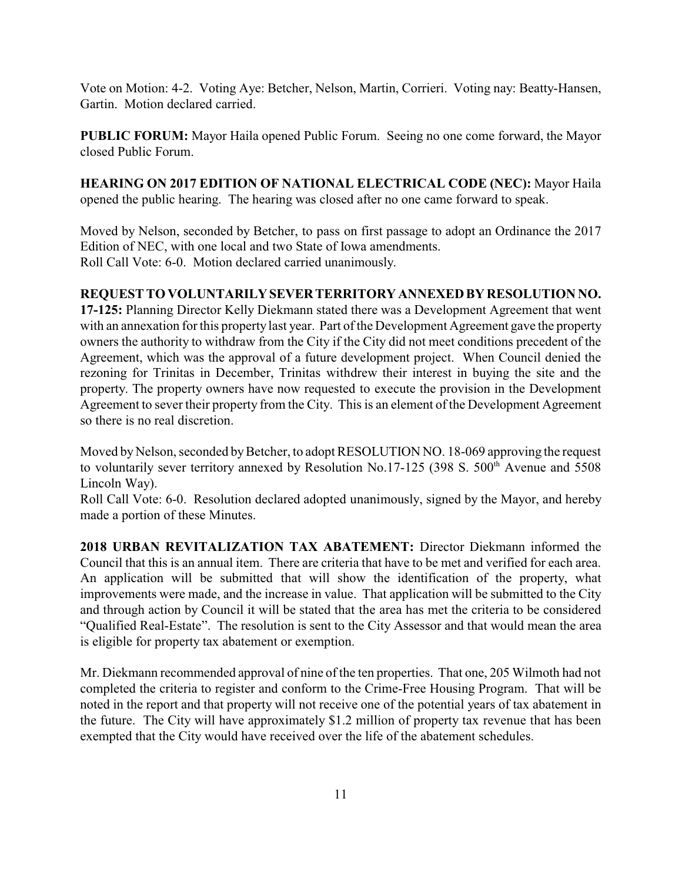Vote on Motion: 4-2. Voting Aye: Betcher, Nelson, Martin, Corrieri. Voting nay: Beatty-Hansen, Gartin. Motion declared carried.

**PUBLIC FORUM:** Mayor Haila opened Public Forum. Seeing no one come forward, the Mayor closed Public Forum.

**HEARING ON 2017 EDITION OF NATIONAL ELECTRICAL CODE (NEC):** Mayor Haila opened the public hearing. The hearing was closed after no one came forward to speak.

Moved by Nelson, seconded by Betcher, to pass on first passage to adopt an Ordinance the 2017 Edition of NEC, with one local and two State of Iowa amendments. Roll Call Vote: 6-0. Motion declared carried unanimously.

## **REQUEST TO VOLUNTARILYSEVERTERRITORY ANNEXED BY RESOLUTION NO.**

**17-125:** Planning Director Kelly Diekmann stated there was a Development Agreement that went with an annexation for this property last year. Part of the Development Agreement gave the property owners the authority to withdraw from the City if the City did not meet conditions precedent of the Agreement, which was the approval of a future development project. When Council denied the rezoning for Trinitas in December, Trinitas withdrew their interest in buying the site and the property. The property owners have now requested to execute the provision in the Development Agreement to sever their property from the City. This is an element of the Development Agreement so there is no real discretion.

Moved by Nelson, seconded by Betcher, to adopt RESOLUTION NO. 18-069 approving the request to voluntarily sever territory annexed by Resolution No.17-125 (398 S.  $500<sup>th</sup>$  Avenue and 5508 Lincoln Way).

Roll Call Vote: 6-0. Resolution declared adopted unanimously, signed by the Mayor, and hereby made a portion of these Minutes.

**2018 URBAN REVITALIZATION TAX ABATEMENT:** Director Diekmann informed the Council that this is an annual item. There are criteria that have to be met and verified for each area. An application will be submitted that will show the identification of the property, what improvements were made, and the increase in value. That application will be submitted to the City and through action by Council it will be stated that the area has met the criteria to be considered "Qualified Real-Estate". The resolution is sent to the City Assessor and that would mean the area is eligible for property tax abatement or exemption.

Mr. Diekmann recommended approval of nine of the ten properties. That one, 205 Wilmoth had not completed the criteria to register and conform to the Crime-Free Housing Program. That will be noted in the report and that property will not receive one of the potential years of tax abatement in the future. The City will have approximately \$1.2 million of property tax revenue that has been exempted that the City would have received over the life of the abatement schedules.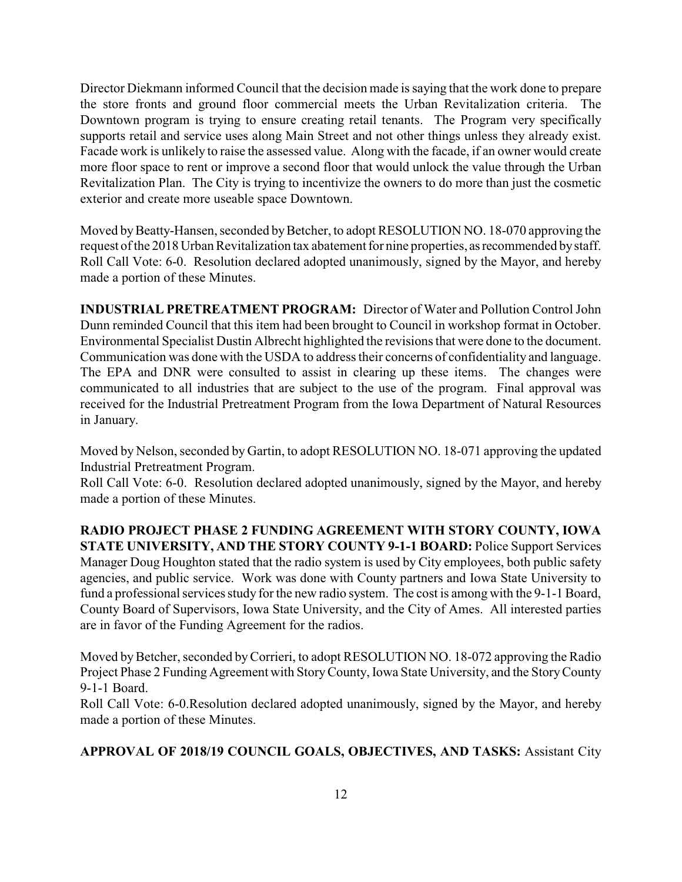Director Diekmann informed Council that the decision made is saying that the work done to prepare the store fronts and ground floor commercial meets the Urban Revitalization criteria. The Downtown program is trying to ensure creating retail tenants. The Program very specifically supports retail and service uses along Main Street and not other things unless they already exist. Facade work is unlikely to raise the assessed value. Along with the facade, if an owner would create more floor space to rent or improve a second floor that would unlock the value through the Urban Revitalization Plan. The City is trying to incentivize the owners to do more than just the cosmetic exterior and create more useable space Downtown.

Moved by Beatty-Hansen, seconded by Betcher, to adopt RESOLUTION NO. 18-070 approving the request of the 2018 Urban Revitalization tax abatement for nine properties, asrecommended bystaff. Roll Call Vote: 6-0. Resolution declared adopted unanimously, signed by the Mayor, and hereby made a portion of these Minutes.

**INDUSTRIAL PRETREATMENT PROGRAM:** Director of Water and Pollution Control John Dunn reminded Council that this item had been brought to Council in workshop format in October. Environmental Specialist Dustin Albrecht highlighted the revisions that were done to the document. Communication was done with the USDA to address their concerns of confidentiality and language. The EPA and DNR were consulted to assist in clearing up these items. The changes were communicated to all industries that are subject to the use of the program. Final approval was received for the Industrial Pretreatment Program from the Iowa Department of Natural Resources in January.

Moved by Nelson, seconded by Gartin, to adopt RESOLUTION NO. 18-071 approving the updated Industrial Pretreatment Program.

Roll Call Vote: 6-0. Resolution declared adopted unanimously, signed by the Mayor, and hereby made a portion of these Minutes.

**RADIO PROJECT PHASE 2 FUNDING AGREEMENT WITH STORY COUNTY, IOWA STATE UNIVERSITY, AND THE STORY COUNTY 9-1-1 BOARD: Police Support Services** Manager Doug Houghton stated that the radio system is used by City employees, both public safety agencies, and public service. Work was done with County partners and Iowa State University to fund a professional services study for the new radio system. The cost is among with the 9-1-1 Board, County Board of Supervisors, Iowa State University, and the City of Ames. All interested parties are in favor of the Funding Agreement for the radios.

Moved by Betcher, seconded by Corrieri, to adopt RESOLUTION NO. 18-072 approving the Radio Project Phase 2 Funding Agreement with Story County, Iowa State University, and the Story County 9-1-1 Board.

Roll Call Vote: 6-0.Resolution declared adopted unanimously, signed by the Mayor, and hereby made a portion of these Minutes.

## **APPROVAL OF 2018/19 COUNCIL GOALS, OBJECTIVES, AND TASKS:** Assistant City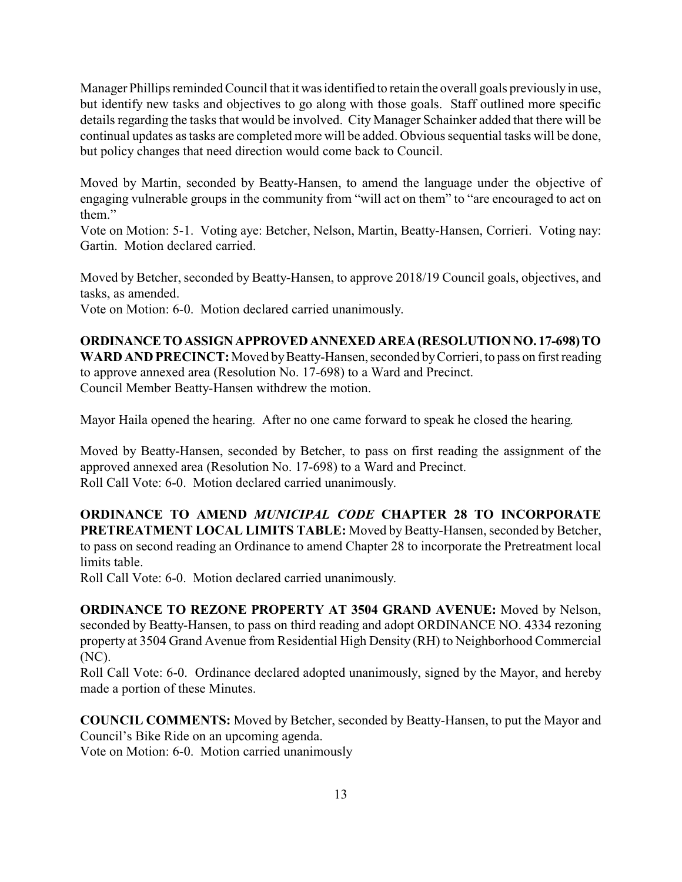Manager Phillips reminded Council that it was identified to retain the overall goals previously in use, but identify new tasks and objectives to go along with those goals. Staff outlined more specific details regarding the tasks that would be involved. City Manager Schainker added that there will be continual updates as tasks are completed more will be added. Obvious sequential tasks will be done, but policy changes that need direction would come back to Council.

Moved by Martin, seconded by Beatty-Hansen, to amend the language under the objective of engaging vulnerable groups in the community from "will act on them" to "are encouraged to act on them."

Vote on Motion: 5-1. Voting aye: Betcher, Nelson, Martin, Beatty-Hansen, Corrieri. Voting nay: Gartin. Motion declared carried.

Moved by Betcher, seconded by Beatty-Hansen, to approve 2018/19 Council goals, objectives, and tasks, as amended.

Vote on Motion: 6-0. Motion declared carried unanimously.

**ORDINANCETOASSIGNAPPROVEDANNEXED AREA (RESOLUTION NO. 17-698)TO WARD AND PRECINCT:** Moved by Beatty-Hansen, seconded by Corrieri, to pass on first reading to approve annexed area (Resolution No. 17-698) to a Ward and Precinct. Council Member Beatty-Hansen withdrew the motion.

Mayor Haila opened the hearing. After no one came forward to speak he closed the hearing.

Moved by Beatty-Hansen, seconded by Betcher, to pass on first reading the assignment of the approved annexed area (Resolution No. 17-698) to a Ward and Precinct. Roll Call Vote: 6-0. Motion declared carried unanimously.

**ORDINANCE TO AMEND** *MUNICIPAL CODE* **CHAPTER 28 TO INCORPORATE PRETREATMENT LOCAL LIMITS TABLE:** Moved by Beatty-Hansen, seconded by Betcher, to pass on second reading an Ordinance to amend Chapter 28 to incorporate the Pretreatment local limits table.

Roll Call Vote: 6-0. Motion declared carried unanimously.

**ORDINANCE TO REZONE PROPERTY AT 3504 GRAND AVENUE:** Moved by Nelson, seconded by Beatty-Hansen, to pass on third reading and adopt ORDINANCE NO. 4334 rezoning property at 3504 Grand Avenue from Residential High Density (RH) to Neighborhood Commercial (NC).

Roll Call Vote: 6-0. Ordinance declared adopted unanimously, signed by the Mayor, and hereby made a portion of these Minutes.

**COUNCIL COMMENTS:** Moved by Betcher, seconded by Beatty-Hansen, to put the Mayor and Council's Bike Ride on an upcoming agenda.

Vote on Motion: 6-0. Motion carried unanimously